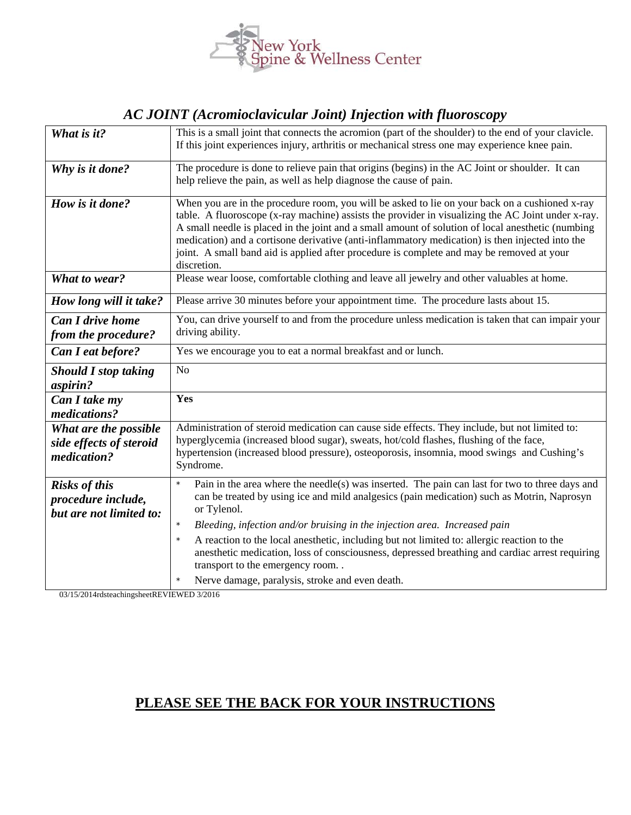

## *AC JOINT (Acromioclavicular Joint) Injection with fluoroscopy*

| What is it?                                                           | This is a small joint that connects the acromion (part of the shoulder) to the end of your clavicle.<br>If this joint experiences injury, arthritis or mechanical stress one may experience knee pain.                                                                                                                                                                                                                                                                                                                   |
|-----------------------------------------------------------------------|--------------------------------------------------------------------------------------------------------------------------------------------------------------------------------------------------------------------------------------------------------------------------------------------------------------------------------------------------------------------------------------------------------------------------------------------------------------------------------------------------------------------------|
|                                                                       |                                                                                                                                                                                                                                                                                                                                                                                                                                                                                                                          |
| Why is it done?                                                       | The procedure is done to relieve pain that origins (begins) in the AC Joint or shoulder. It can<br>help relieve the pain, as well as help diagnose the cause of pain.                                                                                                                                                                                                                                                                                                                                                    |
| How is it done?                                                       | When you are in the procedure room, you will be asked to lie on your back on a cushioned x-ray<br>table. A fluoroscope (x-ray machine) assists the provider in visualizing the AC Joint under x-ray.<br>A small needle is placed in the joint and a small amount of solution of local anesthetic (numbing<br>medication) and a cortisone derivative (anti-inflammatory medication) is then injected into the<br>joint. A small band aid is applied after procedure is complete and may be removed at your<br>discretion. |
| What to wear?                                                         | Please wear loose, comfortable clothing and leave all jewelry and other valuables at home.                                                                                                                                                                                                                                                                                                                                                                                                                               |
| How long will it take?                                                | Please arrive 30 minutes before your appointment time. The procedure lasts about 15.                                                                                                                                                                                                                                                                                                                                                                                                                                     |
| <b>Can I drive home</b>                                               | You, can drive yourself to and from the procedure unless medication is taken that can impair your                                                                                                                                                                                                                                                                                                                                                                                                                        |
| from the procedure?                                                   | driving ability.                                                                                                                                                                                                                                                                                                                                                                                                                                                                                                         |
| Can I eat before?                                                     | Yes we encourage you to eat a normal breakfast and or lunch.                                                                                                                                                                                                                                                                                                                                                                                                                                                             |
| <b>Should I stop taking</b>                                           | N <sub>o</sub>                                                                                                                                                                                                                                                                                                                                                                                                                                                                                                           |
| aspirin?                                                              |                                                                                                                                                                                                                                                                                                                                                                                                                                                                                                                          |
| Can I take my<br>medications?                                         | Yes                                                                                                                                                                                                                                                                                                                                                                                                                                                                                                                      |
| What are the possible<br>side effects of steroid<br>medication?       | Administration of steroid medication can cause side effects. They include, but not limited to:<br>hyperglycemia (increased blood sugar), sweats, hot/cold flashes, flushing of the face,<br>hypertension (increased blood pressure), osteoporosis, insomnia, mood swings and Cushing's<br>Syndrome.                                                                                                                                                                                                                      |
| <b>Risks of this</b><br>procedure include,<br>but are not limited to: | Pain in the area where the needle(s) was inserted. The pain can last for two to three days and<br>$\star$<br>can be treated by using ice and mild analgesics (pain medication) such as Motrin, Naprosyn<br>or Tylenol.                                                                                                                                                                                                                                                                                                   |
|                                                                       | Bleeding, infection and/or bruising in the injection area. Increased pain<br>$\star$                                                                                                                                                                                                                                                                                                                                                                                                                                     |
|                                                                       | A reaction to the local anesthetic, including but not limited to: allergic reaction to the<br>$\star$<br>anesthetic medication, loss of consciousness, depressed breathing and cardiac arrest requiring<br>transport to the emergency room                                                                                                                                                                                                                                                                               |
|                                                                       | Nerve damage, paralysis, stroke and even death.                                                                                                                                                                                                                                                                                                                                                                                                                                                                          |

03/15/2014rdsteachingsheetREVIEWED 3/2016

## **PLEASE SEE THE BACK FOR YOUR INSTRUCTIONS**